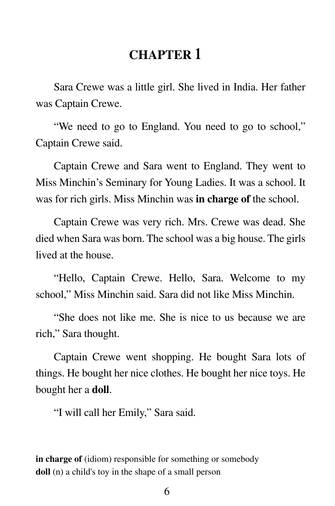## **CHAPTER 1**

Sara Crewe was a little girl. She lived in India. Her father was Captain Crewe.

"We need to go to England. You need to go to school," Captain Crewe said.

Captain Crewe and Sara went to England. They went to Miss Minchin's Seminary for Young Ladies. It was a school. It was for rich girls. Miss Minchin was **in charge of** the school.

Captain Crewe was very rich. Mrs. Crewe was dead. She died when Sara was born. The school was a big house. The girls lived at the house.

"Hello, Captain Crewe. Hello, Sara. Welcome to my school," Miss Minchin said. Sara did not like Miss Minchin.

"She does not like me. She is nice to us because we are rich," Sara thought.

Captain Crewe went shopping. He bought Sara lots of things. He bought her nice clothes. He bought her nice toys. He bought her a **doll**.

"I will call her Emily," Sara said.

**in charge of** (idiom) responsible for something or somebody **doll** (n) a child's toy in the shape of a small person

6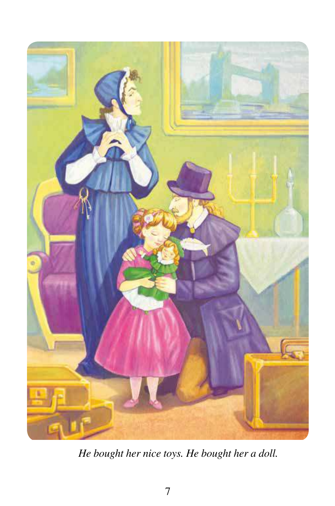

 *He bought her nice toys. He bought her a doll.*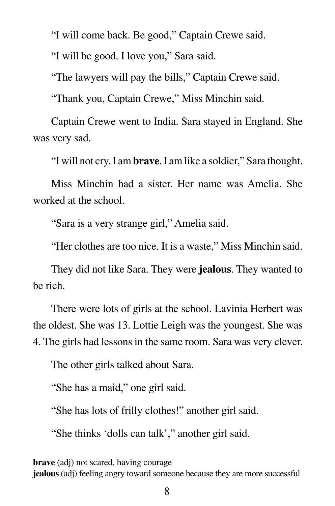"I will come back. Be good," Captain Crewe said.

"I will be good. I love you," Sara said.

"The lawyers will pay the bills," Captain Crewe said.

"Thank you, Captain Crewe," Miss Minchin said.

Captain Crewe went to India. Sara stayed in England. She was very sad.

"I will not cry. I am **brave**. I am like a soldier," Sara thought.

Miss Minchin had a sister. Her name was Amelia. She worked at the school.

"Sara is a very strange girl," Amelia said.

"Her clothes are too nice. It is a waste," Miss Minchin said.

They did not like Sara. They were **jealous**. They wanted to be rich.

There were lots of girls at the school. Lavinia Herbert was the oldest. She was 13. Lottie Leigh was the youngest. She was 4. The girls had lessons in the same room. Sara was very clever.

The other girls talked about Sara.

"She has a maid," one girl said.

"She has lots of frilly clothes!" another girl said.

"She thinks 'dolls can talk'," another girl said.

**brave** (adj) not scared, having courage

**jealous** (adj) feeling angry toward someone because they are more successful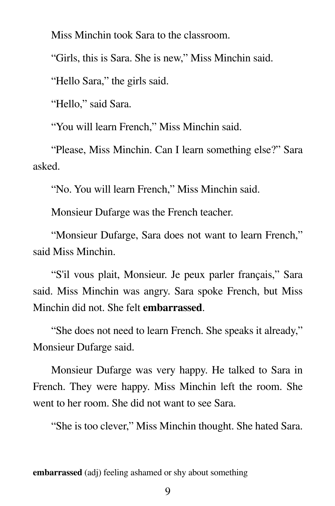Miss Minchin took Sara to the classroom.

"Girls, this is Sara. She is new," Miss Minchin said.

"Hello Sara," the girls said.

"Hello," said Sara.

"You will learn French," Miss Minchin said.

 "Please, Miss Minchin. Can I learn something else?" Sara asked.

"No. You will learn French," Miss Minchin said.

Monsieur Dufarge was the French teacher.

 "Monsieur Dufarge, Sara does not want to learn French," said Miss Minchin.

 "S'il vous plait, Monsieur. Je peux parler français," Sara said. Miss Minchin was angry. Sara spoke French, but Miss Minchin did not. She felt **embarrassed**.

 "She does not need to learn French. She speaks it already," Monsieur Dufarge said.

 Monsieur Dufarge was very happy. He talked to Sara in French. They were happy. Miss Minchin left the room. She went to her room. She did not want to see Sara.

"She is too clever," Miss Minchin thought. She hated Sara.

**embarrassed** (adj) feeling ashamed or shy about something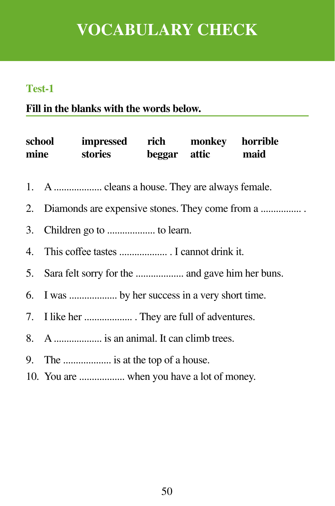# **VOCABULARY CHECK**

#### **Test-1**

### **Fill in the blanks with the words below.**

| impressed rich monkey horrible<br>school<br>mine stories beggar attic maid |
|----------------------------------------------------------------------------|
|                                                                            |
|                                                                            |
|                                                                            |
|                                                                            |
|                                                                            |
| 6. I was  by her success in a very short time.                             |
|                                                                            |
| 8. A  is an animal. It can climb trees.                                    |
| 9. The  is at the top of a house.                                          |

10. You are .................. when you have a lot of money.